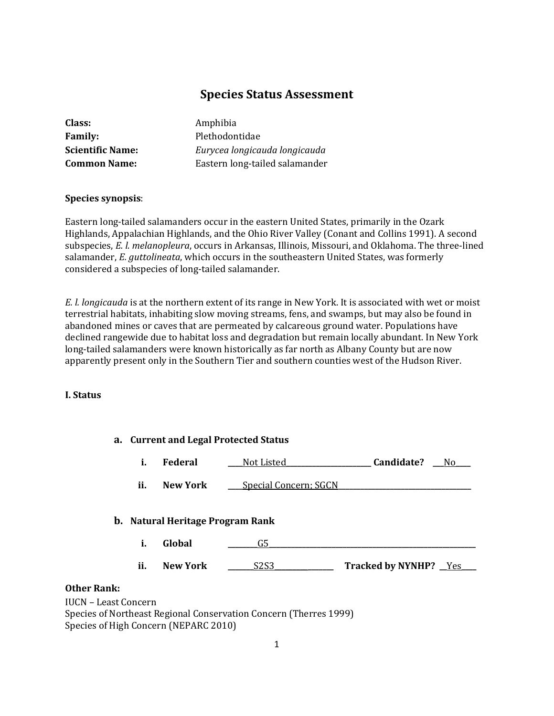# **Species Status Assessment**

| Class:                  | Amphibia                       |
|-------------------------|--------------------------------|
| <b>Family:</b>          | Plethodontidae                 |
| <b>Scientific Name:</b> | Eurycea longicauda longicauda  |
| <b>Common Name:</b>     | Eastern long-tailed salamander |
|                         |                                |

### **Species synopsis**:

Eastern long-tailed salamanders occur in the eastern United States, primarily in the Ozark Highlands, Appalachian Highlands, and the Ohio River Valley (Conant and Collins 1991). A second subspecies, *E. l. melanopleura*, occurs in Arkansas, Illinois, Missouri, and Oklahoma. The three-lined salamander, *E. guttolineata*, which occurs in the southeastern United States, was formerly considered a subspecies of long-tailed salamander.

*E. l. longicauda* is at the northern extent of its range in New York. It is associated with wet or moist terrestrial habitats, inhabiting slow moving streams, fens, and swamps, but may also be found in abandoned mines or caves that are permeated by calcareous ground water. Populations have declined rangewide due to habitat loss and degradation but remain locally abundant. In New York long-tailed salamanders were known historically as far north as Albany County but are now apparently present only in the Southern Tier and southern counties west of the Hudson River.

#### **I. Status**

|                                                   | a. Current and Legal Protected Status |                 |                                         |                        |
|---------------------------------------------------|---------------------------------------|-----------------|-----------------------------------------|------------------------|
|                                                   | i.                                    | Federal         | Not Listed                              | Candidate?<br>No.      |
|                                                   | ii.                                   | <b>New York</b> | <b>Special Concern; SGCN</b>            |                        |
|                                                   |                                       |                 | <b>b.</b> Natural Heritage Program Rank |                        |
|                                                   | i.                                    | Global          | G5                                      |                        |
|                                                   | ii.                                   | <b>New York</b> | S <sub>2</sub> S <sub>3</sub>           | Tracked by NYNHP? _Yes |
| <b>Other Rank:</b><br><b>IUCN - Least Concern</b> |                                       |                 |                                         |                        |

 $IUCN - Lea$ Species of Northeast Regional Conservation Concern (Therres 1999) Species of High Concern (NEPARC 2010)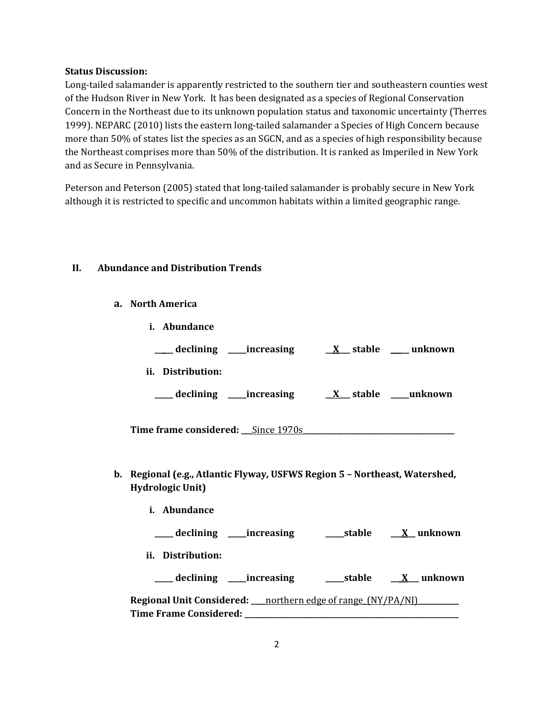### **Status Discussion:**

Long-tailed salamander is apparently restricted to the southern tier and southeastern counties west of the Hudson River in New York. It has been designated as a species of Regional Conservation Concern in the Northeast due to its unknown population status and taxonomic uncertainty (Therres 1999). NEPARC (2010) lists the eastern long-tailed salamander a Species of High Concern because more than 50% of states list the species as an SGCN, and as a species of high responsibility because the Northeast comprises more than 50% of the distribution. It is ranked as Imperiled in New York and as Secure in Pennsylvania.

Peterson and Peterson (2005) stated that long-tailed salamander is probably secure in New York although it is restricted to specific and uncommon habitats within a limited geographic range.

### **II. Abundance and Distribution Trends**

**a. North America**

| Abundance                   |                  |
|-----------------------------|------------------|
| __ declining ____increasing | X stable unknown |
| ii.<br>Distribution:        |                  |
| _declining ____increasing   | X stable unknown |
|                             |                  |

- **Time frame considered: \_\_\_**Since 1970s**\_\_\_\_\_\_\_\_\_\_\_\_\_\_\_\_\_\_\_\_\_\_\_\_\_\_\_\_\_\_\_\_\_\_\_\_\_\_\_\_\_**
- **b. Regional (e.g., Atlantic Flyway, USFWS Region 5 – Northeast, Watershed, Hydrologic Unit)**
	- **i. Abundance \_\_\_\_\_ declining \_\_\_\_\_increasing \_\_\_\_\_stable \_\_\_X\_\_ unknown ii. Distribution: \_\_\_\_\_ declining \_\_\_\_\_increasing \_\_\_\_\_stable \_\_\_X\_\_\_ unknown Regional Unit Considered: \_\_\_\_**northern edge of range\_(NY/PA/NJ)**\_\_\_\_\_\_\_\_\_\_\_ Time Frame Considered: \_\_\_\_\_\_\_\_\_\_\_\_\_\_\_\_\_\_\_\_\_\_\_\_\_\_\_\_\_\_\_\_\_\_\_\_\_\_\_\_\_\_\_\_\_\_\_\_\_\_\_\_\_\_\_\_\_\_**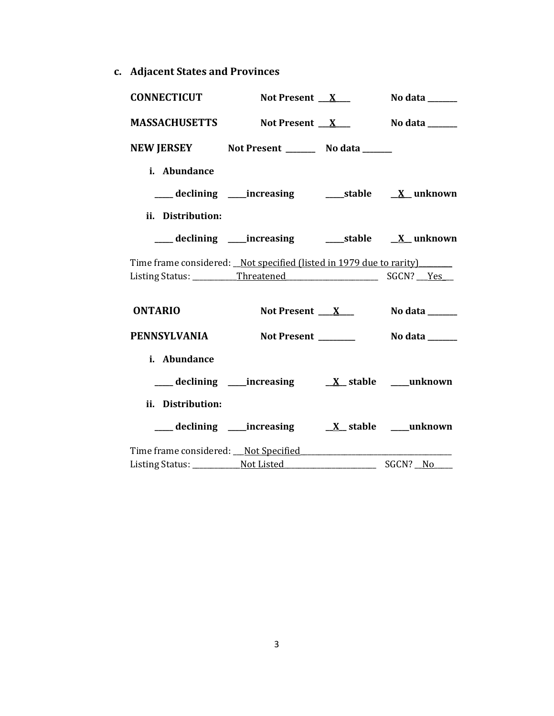**c. Adjacent States and Provinces**

| <b>CONNECTICUT</b>                                                  | Not Present $X_{-}$ | <b>No data</b> _______ |
|---------------------------------------------------------------------|---------------------|------------------------|
| <b>MASSACHUSETTS</b>                                                | Not Present $X_{-}$ | No data _______        |
| NEW JERSEY Not Present _________ No data ______                     |                     |                        |
| i. Abundance                                                        |                     |                        |
|                                                                     |                     |                        |
| ii. Distribution:                                                   |                     |                        |
|                                                                     |                     |                        |
| Time frame considered: Not specified (listed in 1979 due to rarity) |                     |                        |
|                                                                     |                     |                        |
| <b>ONTARIO</b>                                                      | Not Present $X$     | No data ______         |
| PENNSYLVANIA                                                        |                     |                        |
| i. Abundance                                                        |                     |                        |
|                                                                     |                     |                        |
| ii. Distribution:                                                   |                     |                        |
|                                                                     |                     |                        |
|                                                                     |                     |                        |
|                                                                     |                     | SGCN? No               |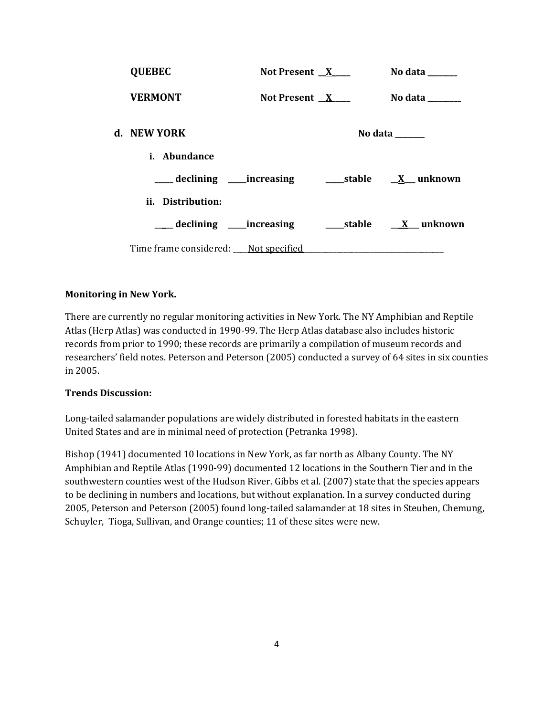| <b>QUEBEC</b>                        | Not Present $X$ | No data ______                                                            |
|--------------------------------------|-----------------|---------------------------------------------------------------------------|
| <b>VERMONT</b>                       | Not Present $X$ | No data $\_\_\_\_\_\_\_\_\_\_\_\$                                         |
| d. NEW YORK                          |                 | No data ______                                                            |
| <i>i.</i> Abundance                  |                 |                                                                           |
|                                      |                 |                                                                           |
| ii. Distribution:                    |                 |                                                                           |
|                                      |                 | ___ declining ____increasing ____________stable ____ <u>X</u> ___ unknown |
| Time frame considered: Not specified |                 |                                                                           |

# **Monitoring in New York.**

There are currently no regular monitoring activities in New York. The NY Amphibian and Reptile Atlas (Herp Atlas) was conducted in 1990-99. The Herp Atlas database also includes historic records from prior to 1990; these records are primarily a compilation of museum records and researchers' field notes. Peterson and Peterson (2005) conducted a survey of 64 sites in six counties in 2005.

### **Trends Discussion:**

Long-tailed salamander populations are widely distributed in forested habitats in the eastern United States and are in minimal need of protection (Petranka 1998).

Bishop (1941) documented 10 locations in New York, as far north as Albany County. The NY Amphibian and Reptile Atlas (1990-99) documented 12 locations in the Southern Tier and in the southwestern counties west of the Hudson River. Gibbs et al. (2007) state that the species appears to be declining in numbers and locations, but without explanation. In a survey conducted during 2005, Peterson and Peterson (2005) found long-tailed salamander at 18 sites in Steuben, Chemung, Schuyler, Tioga, Sullivan, and Orange counties; 11 of these sites were new.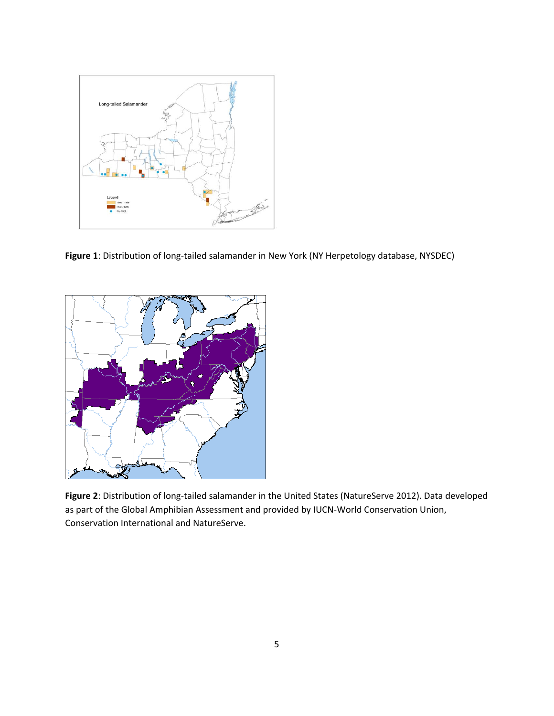

**Figure 1**: Distribution of long-tailed salamander in New York (NY Herpetology database, NYSDEC)



**Figure 2**: Distribution of long-tailed salamander in the United States (NatureServe 2012). Data developed as part of the Global Amphibian Assessment and provided by IUCN-World Conservation Union, Conservation International and NatureServe.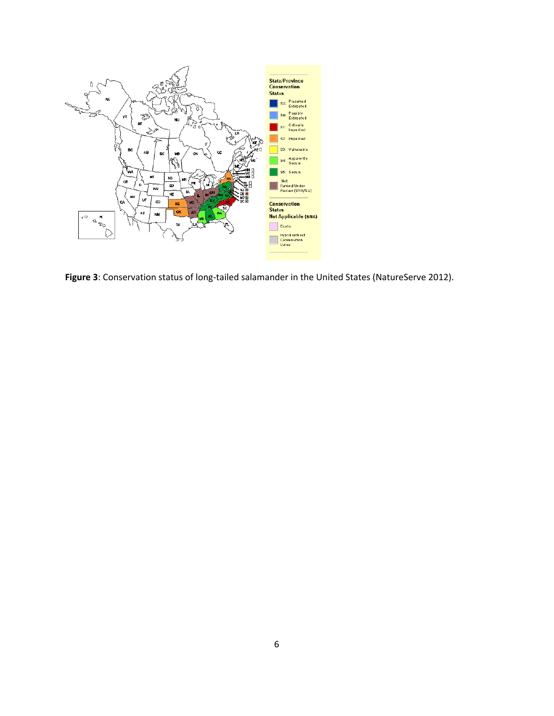

**Figure 3**: Conservation status of long-tailed salamander in the United States (NatureServe 2012).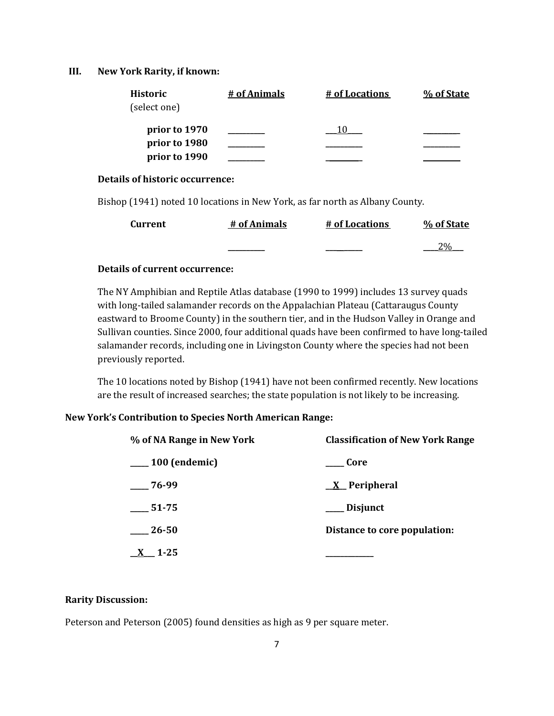### **III. New York Rarity, if known:**

| <b>Historic</b> | # of Animals | # of Locations | % of State |
|-----------------|--------------|----------------|------------|
| (select one)    |              |                |            |
| prior to 1970   |              |                |            |
| prior to 1980   |              |                |            |
| prior to 1990   |              |                |            |

### **Details of historic occurrence:**

Bishop (1941) noted 10 locations in New York, as far north as Albany County.

| <b>Current</b> | # of Animals | # of Locations | % of State |
|----------------|--------------|----------------|------------|
|                |              |                |            |

### **Details of current occurrence:**

The NY Amphibian and Reptile Atlas database (1990 to 1999) includes 13 survey quads with long-tailed salamander records on the Appalachian Plateau (Cattaraugus County eastward to Broome County) in the southern tier, and in the Hudson Valley in Orange and Sullivan counties. Since 2000, four additional quads have been confirmed to have long-tailed salamander records, including one in Livingston County where the species had not been previously reported.

The 10 locations noted by Bishop (1941) have not been confirmed recently. New locations are the result of increased searches; the state population is not likely to be increasing.

### **New York's Contribution to Species North American Range:**

| % of NA Range in New York | <b>Classification of New York Range</b> |  |  |
|---------------------------|-----------------------------------------|--|--|
| $\frac{100}{2}$ (endemic) | Core                                    |  |  |
| $-76-99$                  | <u>X</u> Peripheral                     |  |  |
| $-51-75$                  | ___ Disjunct                            |  |  |
| $-26 - 50$                | Distance to core population:            |  |  |
| $1 - 25$                  |                                         |  |  |

#### **Rarity Discussion:**

Peterson and Peterson (2005) found densities as high as 9 per square meter.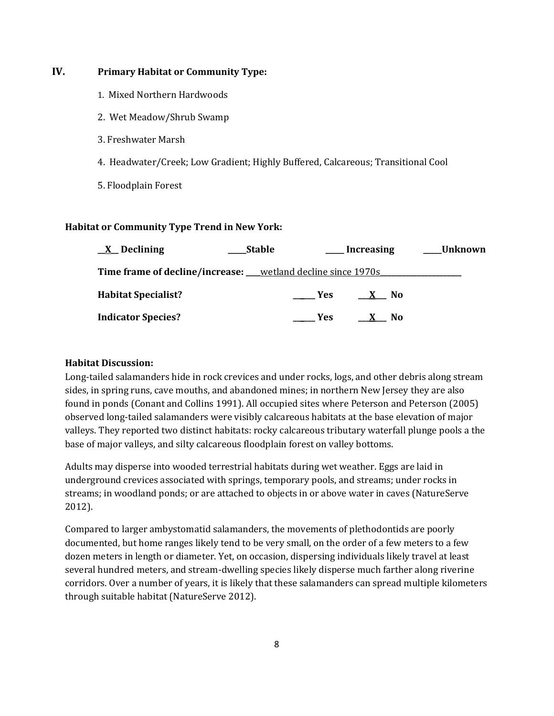# **IV. Primary Habitat or Community Type:**

- 1. Mixed Northern Hardwoods
- 2. Wet Meadow/Shrub Swamp
- 3. Freshwater Marsh
- 4. Headwater/Creek; Low Gradient; Highly Buffered, Calcareous; Transitional Cool
- 5. Floodplain Forest

### **Habitat or Community Type Trend in New York:**

| $\underline{X}$ Declining                                             | <b>Stable</b> |                     | __ Increasing | Unknown |
|-----------------------------------------------------------------------|---------------|---------------------|---------------|---------|
| <b>Time frame of decline/increase:</b> ___wetland decline since 1970s |               |                     |               |         |
| <b>Habitat Specialist?</b>                                            |               | <b>Paragona</b> Yes | X No          |         |
| <b>Indicator Species?</b>                                             |               | <b>Paragona</b>     | X No          |         |

# **Habitat Discussion:**

Long-tailed salamanders hide in rock crevices and under rocks, logs, and other debris along stream sides, in spring runs, cave mouths, and abandoned mines; in northern New Jersey they are also found in ponds (Conant and Collins 1991). All occupied sites where Peterson and Peterson (2005) observed long-tailed salamanders were visibly calcareous habitats at the base elevation of major valleys. They reported two distinct habitats: rocky calcareous tributary waterfall plunge pools a the base of major valleys, and silty calcareous floodplain forest on valley bottoms.

Adults may disperse into wooded terrestrial habitats during wet weather. Eggs are laid in underground crevices associated with springs, temporary pools, and streams; under rocks in streams; in woodland ponds; or are attached to objects in or above water in caves (NatureServe 2012).

Compared to larger ambystomatid salamanders, the movements of plethodontids are poorly documented, but home ranges likely tend to be very small, on the order of a few meters to a few dozen meters in length or diameter. Yet, on occasion, dispersing individuals likely travel at least several hundred meters, and stream-dwelling species likely disperse much farther along riverine corridors. Over a number of years, it is likely that these salamanders can spread multiple kilometers through suitable habitat (NatureServe 2012).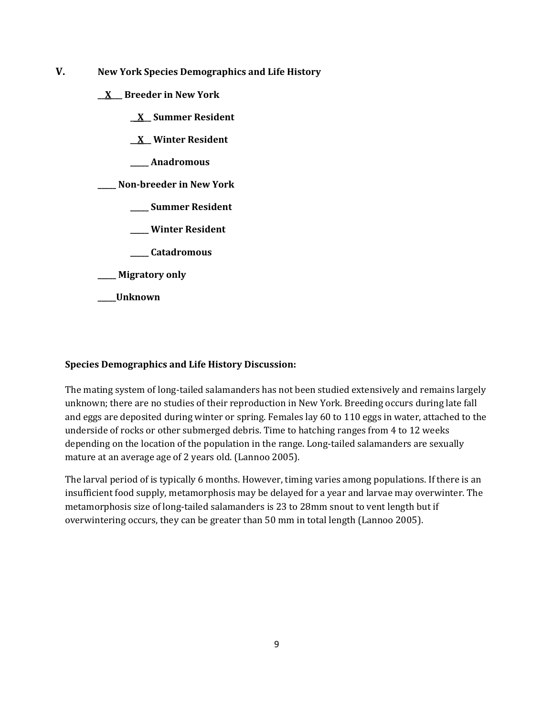- **V. New York Species Demographics and Life History**
	- **\_\_X\_\_\_ Breeder in New York**
		- **\_\_X\_\_ Summer Resident**
		- **\_\_X\_\_ Winter Resident**
		- **\_\_\_\_\_ Anadromous**

**\_\_\_\_\_ Non-breeder in New York**

- **\_\_\_\_\_ Summer Resident**
- **\_\_\_\_\_ Winter Resident**
- **\_\_\_\_\_ Catadromous**
- **\_\_\_\_\_ Migratory only**
- **\_\_\_\_\_Unknown**

### **Species Demographics and Life History Discussion:**

The mating system of long-tailed salamanders has not been studied extensively and remains largely unknown; there are no studies of their reproduction in New York. Breeding occurs during late fall and eggs are deposited during winter or spring. Females lay 60 to 110 eggs in water, attached to the underside of rocks or other submerged debris. Time to hatching ranges from 4 to 12 weeks depending on the location of the population in the range. Long-tailed salamanders are sexually mature at an average age of 2 years old. (Lannoo 2005).

The larval period of is typically 6 months. However, timing varies among populations. If there is an insufficient food supply, metamorphosis may be delayed for a year and larvae may overwinter. The metamorphosis size of long-tailed salamanders is 23 to 28mm snout to vent length but if overwintering occurs, they can be greater than 50 mm in total length (Lannoo 2005).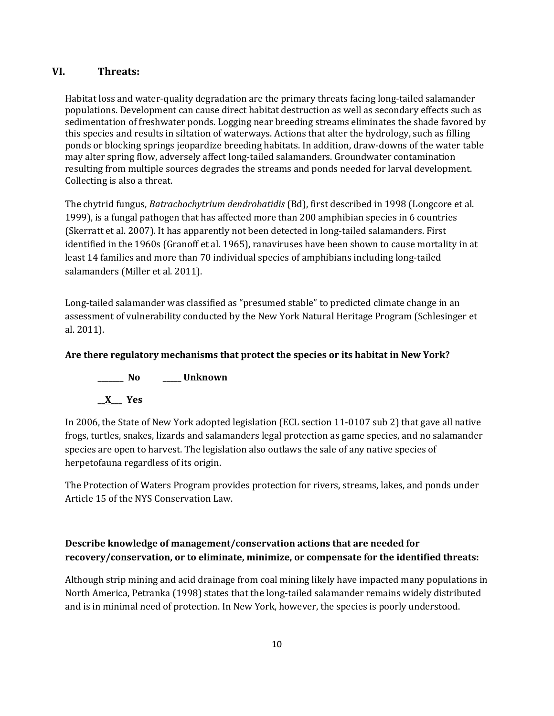# **VI. Threats:**

Habitat loss and water-quality degradation are the primary threats facing long-tailed salamander populations. Development can cause direct habitat destruction as well as secondary effects such as sedimentation of freshwater ponds. Logging near breeding streams eliminates the shade favored by this species and results in siltation of waterways. Actions that alter the hydrology, such as filling ponds or blocking springs jeopardize breeding habitats. In addition, draw-downs of the water table may alter spring flow, adversely affect long-tailed salamanders. Groundwater contamination resulting from multiple sources degrades the streams and ponds needed for larval development. Collecting is also a threat.

The chytrid fungus, *Batrachochytrium dendrobatidis* (Bd), first described in 1998 (Longcore et al. 1999), is a fungal pathogen that has affected more than 200 amphibian species in 6 countries (Skerratt et al. 2007). It has apparently not been detected in long-tailed salamanders. First identified in the 1960s (Granoff et al. 1965), ranaviruses have been shown to cause mortality in at least 14 families and more than 70 individual species of amphibians including long-tailed salamanders (Miller et al. 2011).

Long-tailed salamander was classified as "presumed stable" to predicted climate change in an assessment of vulnerability conducted by the New York Natural Heritage Program (Schlesinger et al. 2011).

# **Are there regulatory mechanisms that protect the species or its habitat in New York?**

**\_\_\_\_\_\_\_ No \_\_\_\_\_ Unknown \_\_X\_\_\_ Yes**

In 2006, the State of New York adopted legislation (ECL section 11-0107 sub 2) that gave all native frogs, turtles, snakes, lizards and salamanders legal protection as game species, and no salamander species are open to harvest. The legislation also outlaws the sale of any native species of herpetofauna regardless of its origin.

The Protection of Waters Program provides protection for rivers, streams, lakes, and ponds under Article 15 of the NYS Conservation Law.

# **Describe knowledge of management/conservation actions that are needed for recovery/conservation, or to eliminate, minimize, or compensate for the identified threats:**

Although strip mining and acid drainage from coal mining likely have impacted many populations in North America, Petranka (1998) states that the long-tailed salamander remains widely distributed and is in minimal need of protection. In New York, however, the species is poorly understood.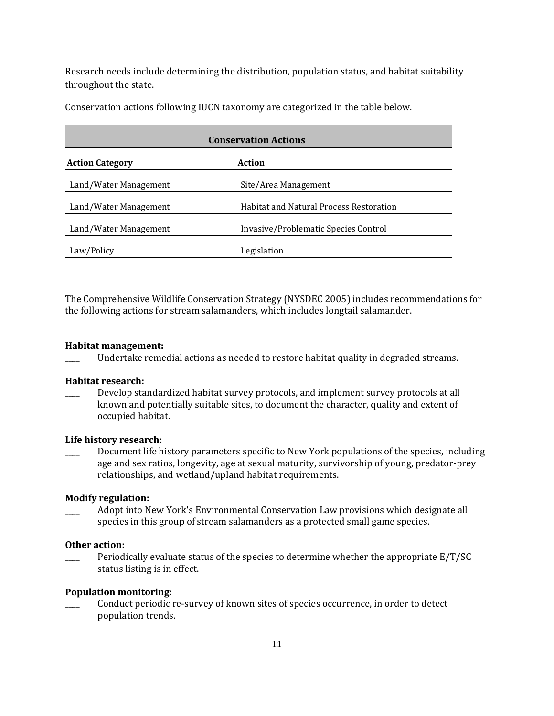Research needs include determining the distribution, population status, and habitat suitability throughout the state.

| <b>Conservation Actions</b> |                                                |  |
|-----------------------------|------------------------------------------------|--|
| <b>Action Category</b>      | Action                                         |  |
| Land/Water Management       | Site/Area Management                           |  |
| Land/Water Management       | <b>Habitat and Natural Process Restoration</b> |  |
| Land/Water Management       | Invasive/Problematic Species Control           |  |
| Law/Policy                  | Legislation                                    |  |

Conservation actions following IUCN taxonomy are categorized in the table below.

The Comprehensive Wildlife Conservation Strategy (NYSDEC 2005) includes recommendations for the following actions for stream salamanders, which includes longtail salamander.

#### **Habitat management:**

\_\_\_\_ Undertake remedial actions as needed to restore habitat quality in degraded streams.

#### **Habitat research:**

Develop standardized habitat survey protocols, and implement survey protocols at all known and potentially suitable sites, to document the character, quality and extent of occupied habitat.

#### **Life history research:**

Document life history parameters specific to New York populations of the species, including age and sex ratios, longevity, age at sexual maturity, survivorship of young, predator-prey relationships, and wetland/upland habitat requirements.

#### **Modify regulation:**

\_\_\_\_ Adopt into New York's Environmental Conservation Law provisions which designate all species in this group of stream salamanders as a protected small game species.

#### **Other action:**

 $\frac{1}{2}$  Periodically evaluate status of the species to determine whether the appropriate E/T/SC status listing is in effect.

### **Population monitoring:**

\_\_\_\_ Conduct periodic re-survey of known sites of species occurrence, in order to detect population trends.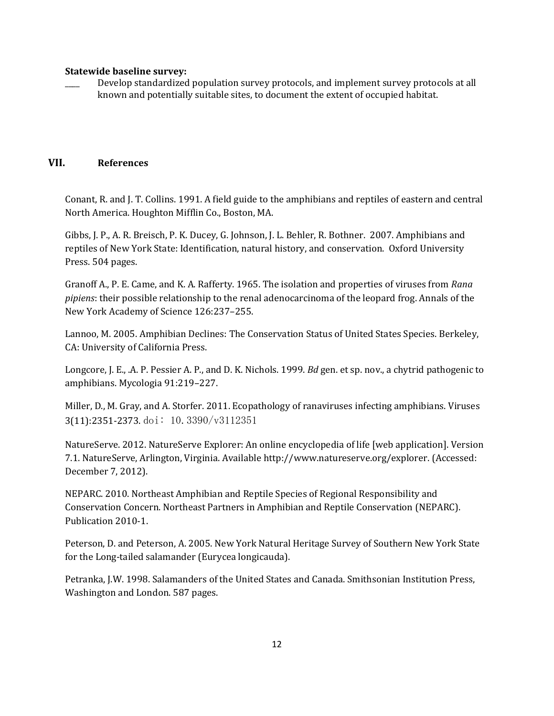### **Statewide baseline survey:**

Develop standardized population survey protocols, and implement survey protocols at all known and potentially suitable sites, to document the extent of occupied habitat.

# **VII. References**

Conant, R. and J. T. Collins. 1991. A field guide to the amphibians and reptiles of eastern and central North America. Houghton Mifflin Co., Boston, MA.

Gibbs, J. P., A. R. Breisch, P. K. Ducey, G. Johnson, J. L. Behler, R. Bothner. 2007. Amphibians and reptiles of New York State: Identification, natural history, and conservation. Oxford University Press. 504 pages.

Granoff A., P. E. Came, and K. A. Rafferty. 1965. The isolation and properties of viruses from *Rana pipiens*: their possible relationship to the renal adenocarcinoma of the leopard frog. Annals of the New York Academy of Science 126:237–255.

Lannoo, M. 2005. Amphibian Declines: The Conservation Status of United States Species. Berkeley, CA: University of California Press.

Longcore, J. E., .A. P. Pessier A. P., and D. K. Nichols. 1999. *Bd* gen. et sp. nov., a chytrid pathogenic to amphibians. Mycologia 91:219–227.

Miller, D., M. Gray, and A. Storfer. 2011. Ecopathology of ranaviruses infecting amphibians. Viruses 3(11):2351-2373. doi: 10.3390/v3112351

NatureServe. 2012. NatureServe Explorer: An online encyclopedia of life [web application]. Version 7.1. NatureServe, Arlington, Virginia. Available http://www.natureserve.org/explorer. (Accessed: December 7, 2012).

NEPARC. 2010. Northeast Amphibian and Reptile Species of Regional Responsibility and Conservation Concern. Northeast Partners in Amphibian and Reptile Conservation (NEPARC). Publication 2010-1.

Peterson, D. and Peterson, A. 2005. New York Natural Heritage Survey of Southern New York State for the Long-tailed salamander (Eurycea longicauda).

Petranka, J.W. 1998. Salamanders of the United States and Canada. Smithsonian Institution Press, Washington and London. 587 pages.